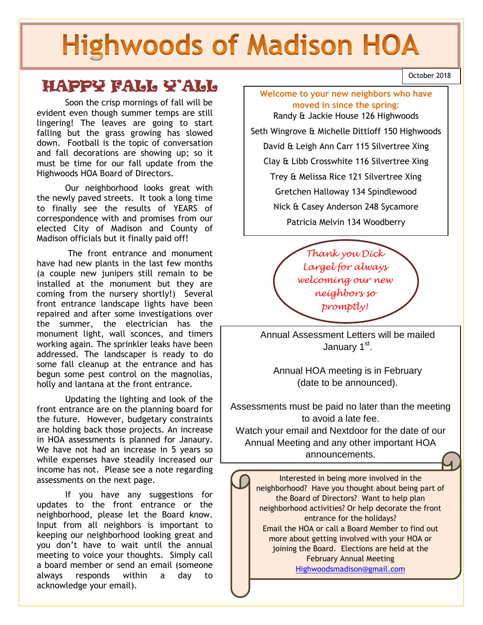# **Highwoods of Madison HOA**

# HAPPY FALL Y'ALL

Soon the crisp mornings of fall will be evident even though summer temps are still lingering! The leaves are going to start falling but the grass growing has slowed down. Football is the topic of conversation and fall decorations are showing up; so it must be time for our fall update from the Highwoods HOA Board of Directors.

Our neighborhood looks great with the newly paved streets. It took a long time to finally see the results of YEARS of correspondence with and promises from our elected City of Madison and County of Madison officials but it finally paid off!

The front entrance and monument have had new plants in the last few months (a couple new junipers still remain to be installed at the monument but they are coming from the nursery shortly!) Several front entrance landscape lights have been repaired and after some investigations over the summer, the electrician has the monument light, wall sconces, and timers working again. The sprinkler leaks have been addressed. The landscaper is ready to do some fall cleanup at the entrance and has begun some pest control on the magnolias, holly and lantana at the front entrance.

Updating the lighting and look of the front entrance are on the planning board for the future. However, budgetary constraints are holding back those projects. An increase in HOA assessments is planned for Janaury. We have not had an increase in 5 years so while expenses have steadily increased our income has not. Please see a note regarding assessments on the next page.

If you have any suggestions for updates to the front entrance or the neighborhood, please let the Board know. Input from all neighbors is important to keeping our neighborhood looking great and you don't have to wait until the annual meeting to voice your thoughts. Simply call a board member or send an email (someone always responds within a day to acknowledge your email).

**Welcome to your new neighbors who have moved in since the spring**: Randy & Jackie House 126 Highwoods Seth Wingrove & Michelle Dittloff 150 Highwoods David & Leigh Ann Carr 115 Silvertree Xing Clay & Libb Crosswhite 116 Silvertree Xing Trey & Melissa Rice 121 Silvertree Xing Gretchen Halloway 134 Spindlewood Nick & Casey Anderson 248 Sycamore Patricia Melvin 134 Woodberry

> *Thank you Dick Largel for always welcoming our new neighbors so promptly!*

Annual Assessment Letters will be mailed January 1<sup>st</sup>.

Annual HOA meeting is in February (date to be announced).

Assessments must be paid no later than the meeting to avoid a late fee. Watch your email and Nextdoor for the date of our

Annual Meeting and any other important HOA announcements.

Interested in being more involved in the neighborhood? Have you thought about being part of the Board of Directors? Want to help plan neighborhood activities? Or help decorate the front entrance for the holidays? Email the HOA or call a Board Member to find out more about getting involved with your HOA or joining the Board. Elections are held at the February Annual Meeting [Highwoodsmadison@gmail.com](mailto:Highwoodsmadison@gmail.com)

*October 2018*  October 2018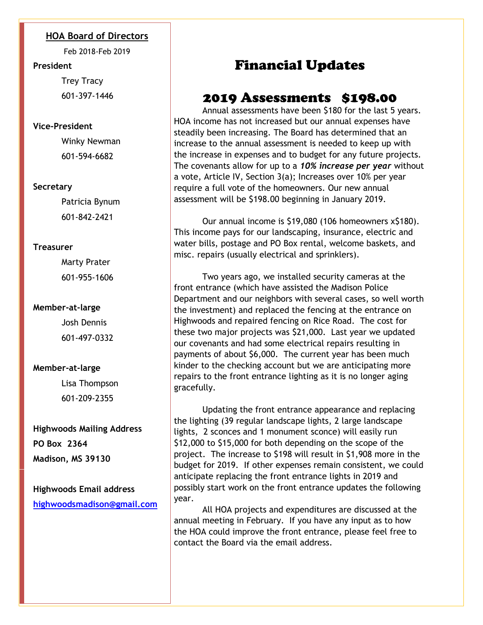#### **HOA Board of Directors**

Feb 2018-Feb 2019

#### **President**

Trey Tracy 601-397-1446

#### **Vice-President**

Winky Newman 601-594-6682

#### **Secretary**

Patricia Bynum 601-842-2421

#### **Treasurer**

Marty Prater 601-955-1606

#### **Member-at-large**

Josh Dennis 601-497-0332

#### **Member-at-large**

Lisa Thompson 601-209-2355

## **Highwoods Mailing Address PO Box 2364 Madison, MS 39130**

**Highwoods Email address [highwoodsmadison@gmail.com](mailto:highwoodsmadison@gmail.com)**

# Financial Updates

## 2019 Assessments \$198.00

Annual assessments have been \$180 for the last 5 years. HOA income has not increased but our annual expenses have steadily been increasing. The Board has determined that an increase to the annual assessment is needed to keep up with the increase in expenses and to budget for any future projects. The covenants allow for up to a *10% increase per year* without a vote, Article IV, Section 3(a); Increases over 10% per year require a full vote of the homeowners. Our new annual assessment will be \$198.00 beginning in January 2019.

Our annual income is \$19,080 (106 homeowners x\$180). This income pays for our landscaping, insurance, electric and water bills, postage and PO Box rental, welcome baskets, and misc. repairs (usually electrical and sprinklers).

Two years ago, we installed security cameras at the front entrance (which have assisted the Madison Police Department and our neighbors with several cases, so well worth the investment) and replaced the fencing at the entrance on Highwoods and repaired fencing on Rice Road. The cost for these two major projects was \$21,000. Last year we updated our covenants and had some electrical repairs resulting in payments of about \$6,000. The current year has been much kinder to the checking account but we are anticipating more repairs to the front entrance lighting as it is no longer aging gracefully.

Updating the front entrance appearance and replacing the lighting (39 regular landscape lights, 2 large landscape lights, 2 sconces and 1 monument sconce) will easily run \$12,000 to \$15,000 for both depending on the scope of the project. The increase to \$198 will result in \$1,908 more in the budget for 2019. If other expenses remain consistent, we could anticipate replacing the front entrance lights in 2019 and possibly start work on the front entrance updates the following year.

All HOA projects and expenditures are discussed at the annual meeting in February. If you have any input as to how the HOA could improve the front entrance, please feel free to contact the Board via the email address.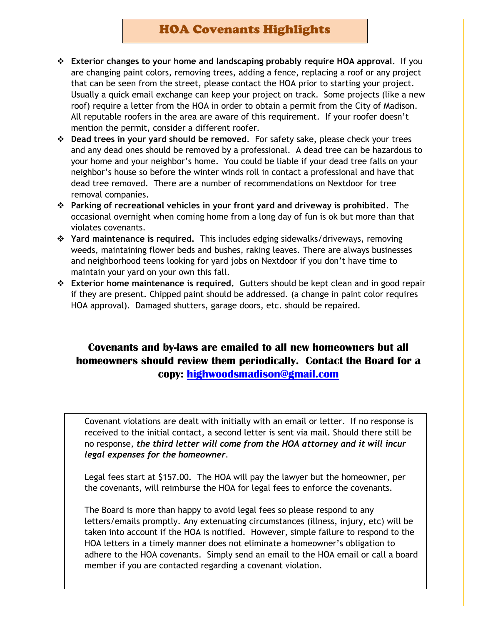## HOA Covenants Highlights

- **Exterior changes to your home and landscaping probably require HOA approval**. If you are changing paint colors, removing trees, adding a fence, replacing a roof or any project that can be seen from the street, please contact the HOA prior to starting your project. Usually a quick email exchange can keep your project on track. Some projects (like a new roof) require a letter from the HOA in order to obtain a permit from the City of Madison. All reputable roofers in the area are aware of this requirement. If your roofer doesn't mention the permit, consider a different roofer.
- **Dead trees in your yard should be removed**. For safety sake, please check your trees and any dead ones should be removed by a professional. A dead tree can be hazardous to your home and your neighbor's home. You could be liable if your dead tree falls on your neighbor's house so before the winter winds roll in contact a professional and have that dead tree removed. There are a number of recommendations on Nextdoor for tree removal companies.
- **Parking of recreational vehicles in your front yard and driveway is prohibited**. The occasional overnight when coming home from a long day of fun is ok but more than that violates covenants.
- **Yard maintenance is required.** This includes edging sidewalks/driveways, removing weeds, maintaining flower beds and bushes, raking leaves. There are always businesses and neighborhood teens looking for yard jobs on Nextdoor if you don't have time to maintain your yard on your own this fall.
- **Exterior home maintenance is required.** Gutters should be kept clean and in good repair if they are present. Chipped paint should be addressed. (a change in paint color requires HOA approval). Damaged shutters, garage doors, etc. should be repaired.

### **Covenants and by-laws are emailed to all new homeowners but all homeowners should review them periodically. Contact the Board for a copy: [highwoodsmadison@gmail.com](mailto:highwoodsmadison@gmail.com)**

Covenant violations are dealt with initially with an email or letter. If no response is received to the initial contact, a second letter is sent via mail. Should there still be no response, *the third letter will come from the HOA attorney and it will incur legal expenses for the homeowner*.

Legal fees start at \$157.00. The HOA will pay the lawyer but the homeowner, per the covenants, will reimburse the HOA for legal fees to enforce the covenants.

The Board is more than happy to avoid legal fees so please respond to any letters/emails promptly. Any extenuating circumstances (illness, injury, etc) will be taken into account if the HOA is notified. However, simple failure to respond to the HOA letters in a timely manner does not eliminate a homeowner's obligation to adhere to the HOA covenants. Simply send an email to the HOA email or call a board member if you are contacted regarding a covenant violation.